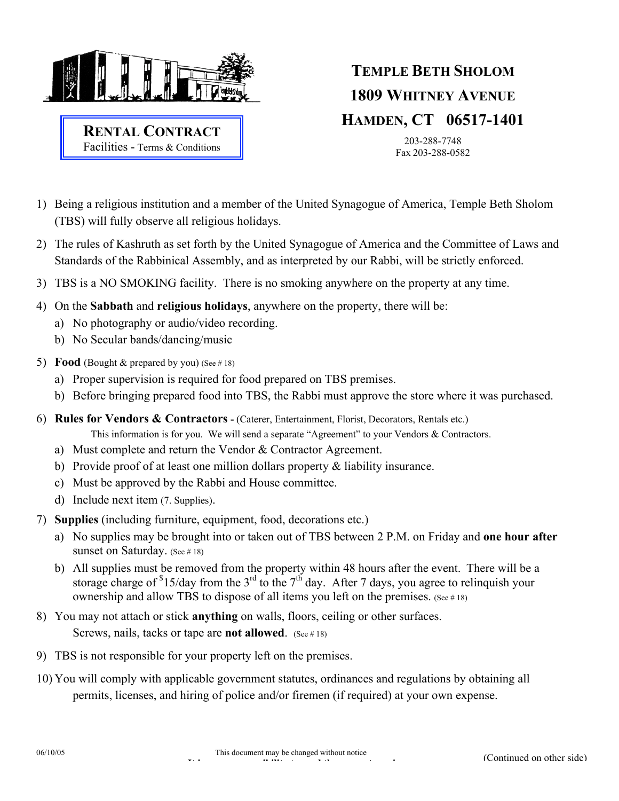

**RENTAL CONTRACT** Facilities - Terms & Conditions

## **TEMPLE BETH SHOLOM 1809 WHITNEY AVENUE HAMDEN, CT 06517-1401**

203-288-7748 Fax 203-288-0582

- 1) Being a religious institution and a member of the United Synagogue of America, Temple Beth Sholom (TBS) will fully observe all religious holidays.
- 2) The rules of Kashruth as set forth by the United Synagogue of America and the Committee of Laws and Standards of the Rabbinical Assembly, and as interpreted by our Rabbi, will be strictly enforced.
- 3) TBS is a NO SMOKING facility. There is no smoking anywhere on the property at any time.
- 4) On the **Sabbath** and **religious holidays**, anywhere on the property, there will be:
	- a) No photography or audio/video recording.
	- b) No Secular bands/dancing/music
- 5) **Food** (Bought  $\&$  prepared by you) (See #18)
	- a) Proper supervision is required for food prepared on TBS premises.
	- b) Before bringing prepared food into TBS, the Rabbi must approve the store where it was purchased.
- 6) **Rules for Vendors & Contractors** (Caterer, Entertainment, Florist, Decorators, Rentals etc.) This information is for you. We will send a separate "Agreement" to your Vendors & Contractors.
	- a) Must complete and return the Vendor & Contractor Agreement.
	- b) Provide proof of at least one million dollars property & liability insurance.
	- c) Must be approved by the Rabbi and House committee.
	- d) Include next item (7. Supplies).
- 7) **Supplies** (including furniture, equipment, food, decorations etc.)
	- a) No supplies may be brought into or taken out of TBS between 2 P.M. on Friday and **one hour after** sunset on Saturday. (See #18)
	- b) All supplies must be removed from the property within 48 hours after the event. There will be a storage charge of  $$15/day$  from the 3<sup>rd</sup> to the 7<sup>th</sup> day. After 7 days, you agree to relinquish your ownership and allow TBS to dispose of all items you left on the premises. (See #18)
- 8) You may not attach or stick **anything** on walls, floors, ceiling or other surfaces. Screws, nails, tacks or tape are **not allowed**. (See #18)
- 9) TBS is not responsible for your property left on the premises.
- 10) You will comply with applicable government statutes, ordinances and regulations by obtaining all permits, licenses, and hiring of police and/or firemen (if required) at your own expense.